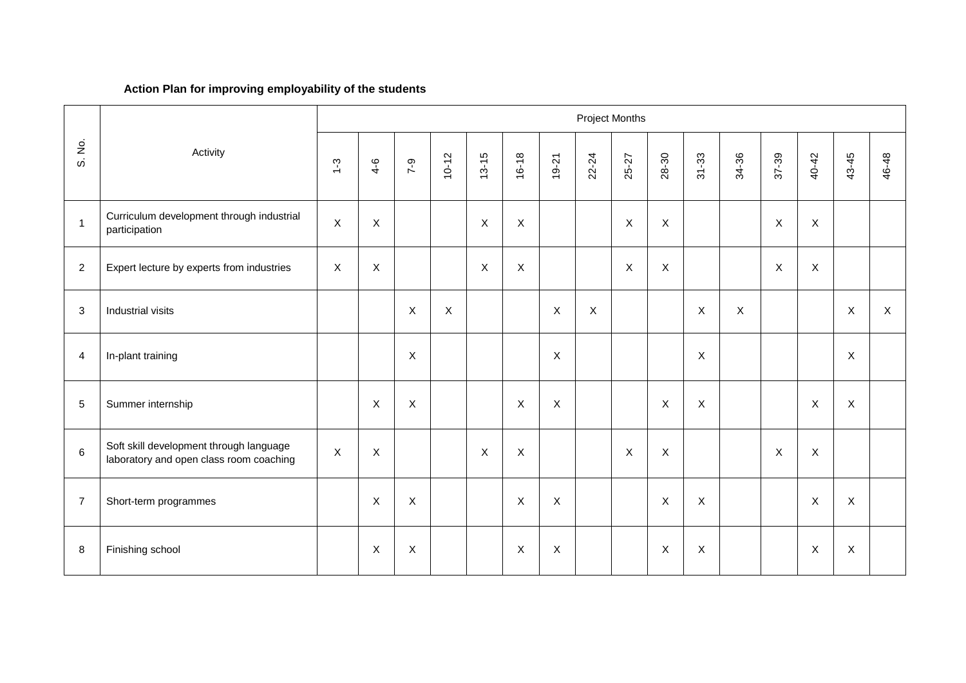## **Action Plan for improving employability of the students**

| Project Months |                                                                                    |                           |                           |                |                           |                |             |                  |              |             |                           |                           |                           |                           |                           |              |              |
|----------------|------------------------------------------------------------------------------------|---------------------------|---------------------------|----------------|---------------------------|----------------|-------------|------------------|--------------|-------------|---------------------------|---------------------------|---------------------------|---------------------------|---------------------------|--------------|--------------|
| S. No.         | Activity                                                                           | $\frac{3}{2}$             | $4 - 6$                   | $7 - 9$        | $10 - 12$                 | $13 - 15$      | $16 - 18$   | $19-21$          | 22-24        | 25-27       | 28-30                     | $31 - 33$                 | 34-36                     | 37-39                     | 40-42                     | 43-45        | 46-48        |
| $\overline{1}$ | Curriculum development through industrial<br>participation                         | $\boldsymbol{\mathsf{X}}$ | $\boldsymbol{\mathsf{X}}$ |                |                           | $\mathsf X$    | $\mathsf X$ |                  |              | $\mathsf X$ | $\pmb{\times}$            |                           |                           | $\boldsymbol{\mathsf{X}}$ | $\mathsf{X}$              |              |              |
| $\overline{c}$ | Expert lecture by experts from industries                                          | $\boldsymbol{\mathsf{X}}$ | $\boldsymbol{\mathsf{X}}$ |                |                           | $\pmb{\times}$ | $\mathsf X$ |                  |              | $\mathsf X$ | $\boldsymbol{\mathsf{X}}$ |                           |                           | $\boldsymbol{\mathsf{X}}$ | $\mathsf X$               |              |              |
| 3              | Industrial visits                                                                  |                           |                           | $\pmb{\times}$ | $\boldsymbol{\mathsf{X}}$ |                |             | $\mathsf X$      | $\mathsf{X}$ |             |                           | X                         | $\boldsymbol{\mathsf{X}}$ |                           |                           | $\mathsf X$  | $\mathsf{X}$ |
| $\overline{4}$ | In-plant training                                                                  |                           |                           | $\mathsf{X}$   |                           |                |             | $\boldsymbol{X}$ |              |             |                           | X                         |                           |                           |                           | $\mathsf{X}$ |              |
| $\sqrt{5}$     | Summer internship                                                                  |                           | $\pmb{\times}$            | $\mathsf X$    |                           |                | $\times$    | X                |              |             | $\boldsymbol{\mathsf{X}}$ | $\pmb{\times}$            |                           |                           | $\boldsymbol{\mathsf{X}}$ | $\mathsf X$  |              |
| $\,6\,$        | Soft skill development through language<br>laboratory and open class room coaching | $\boldsymbol{\mathsf{X}}$ | $\mathsf{X}$              |                |                           | X              | $\mathsf X$ |                  |              | $\mathsf X$ | X                         |                           |                           | $\boldsymbol{\mathsf{X}}$ | $\mathsf X$               |              |              |
| $\overline{7}$ | Short-term programmes                                                              |                           | $\times$                  | $\mathsf{X}$   |                           |                | $\times$    | $\mathsf X$      |              |             | $\boldsymbol{\mathsf{X}}$ | $\boldsymbol{\mathsf{X}}$ |                           |                           | $\boldsymbol{\mathsf{X}}$ | $\mathsf X$  |              |
| 8              | Finishing school                                                                   |                           | $\boldsymbol{\mathsf{X}}$ | $\pmb{\times}$ |                           |                | $\times$    | X                |              |             | $\boldsymbol{\mathsf{X}}$ | $\boldsymbol{\mathsf{X}}$ |                           |                           | $\boldsymbol{\mathsf{X}}$ | $\mathsf X$  |              |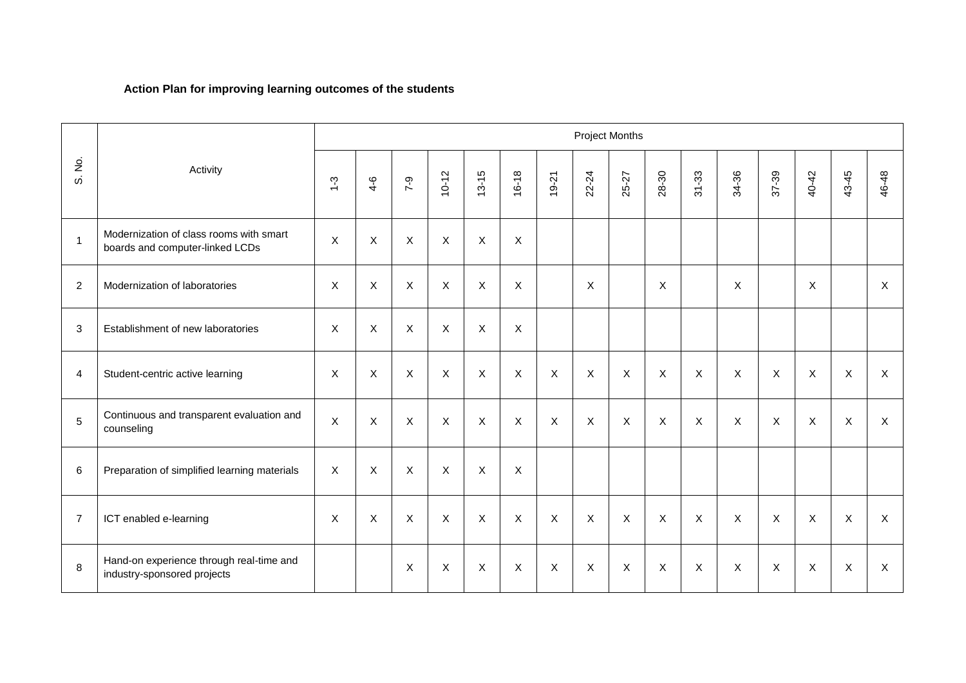## **Action Plan for improving learning outcomes of the students**

|                |                                                                            | <b>Project Months</b>     |                           |              |              |                           |                           |                           |                |              |                |                |                           |             |                           |                           |                |
|----------------|----------------------------------------------------------------------------|---------------------------|---------------------------|--------------|--------------|---------------------------|---------------------------|---------------------------|----------------|--------------|----------------|----------------|---------------------------|-------------|---------------------------|---------------------------|----------------|
| S. No.         | Activity                                                                   | $1 - 3$                   | $4 - 6$                   | $7 - 9$      | $10 - 12$    | $13 - 15$                 | $16 - 18$                 | $19 - 21$                 | 22-24          | 25-27        | 28-30          | $31 - 33$      | 34-36                     | 37-39       | 40-42                     | 43-45                     | 46-48          |
| $\mathbf{1}$   | Modernization of class rooms with smart<br>boards and computer-linked LCDs | $\mathsf X$               | $\boldsymbol{\mathsf{X}}$ | $\mathsf X$  | $\mathsf X$  | $\boldsymbol{\mathsf{X}}$ | $\boldsymbol{\mathsf{X}}$ |                           |                |              |                |                |                           |             |                           |                           |                |
| 2              | Modernization of laboratories                                              | X                         | $\boldsymbol{\mathsf{X}}$ | $\mathsf X$  | $\mathsf X$  | $\mathsf X$               | X                         |                           | X              |              | X              |                | X                         |             | $\boldsymbol{\mathsf{X}}$ |                           | $\mathsf{X}$   |
| 3              | Establishment of new laboratories                                          | X                         | $\boldsymbol{\mathsf{X}}$ | $\mathsf{X}$ | $\mathsf{X}$ | X                         | X                         |                           |                |              |                |                |                           |             |                           |                           |                |
| 4              | Student-centric active learning                                            | X                         | $\boldsymbol{\mathsf{X}}$ | $\mathsf X$  | $\mathsf X$  | $\mathsf X$               | $\boldsymbol{\mathsf{X}}$ | $\boldsymbol{\mathsf{X}}$ | $\pmb{\times}$ | $\mathsf X$  | $\pmb{\times}$ | $\pmb{\times}$ | $\boldsymbol{\mathsf{X}}$ | $\mathsf X$ | $\boldsymbol{\mathsf{X}}$ | $\boldsymbol{\mathsf{X}}$ | $\mathsf X$    |
| 5              | Continuous and transparent evaluation and<br>counseling                    | $\boldsymbol{\mathsf{X}}$ | $\boldsymbol{\mathsf{X}}$ | $\mathsf X$  | $\mathsf{X}$ | $\mathsf{X}$              | $\boldsymbol{\mathsf{X}}$ | $\boldsymbol{\mathsf{X}}$ | $\pmb{\times}$ | $\mathsf X$  | X              | $\pmb{\times}$ | $\boldsymbol{\mathsf{X}}$ | X           | $\mathsf X$               | X                         | $\pmb{\times}$ |
| 6              | Preparation of simplified learning materials                               | X                         | $\mathsf{X}$              | $\mathsf X$  | $\mathsf{X}$ | X                         | X                         |                           |                |              |                |                |                           |             |                           |                           |                |
| $\overline{7}$ | ICT enabled e-learning                                                     | X                         | $\boldsymbol{\mathsf{X}}$ | $\sf X$      | $\mathsf{X}$ | X                         | X                         | $\boldsymbol{\mathsf{X}}$ | $\mathsf{X}$   | $\mathsf{X}$ | X              | $\mathsf{X}$   | $\mathsf{X}$              | $\sf X$     | $\mathsf{X}$              | X                         | $\mathsf{X}$   |
| 8              | Hand-on experience through real-time and<br>industry-sponsored projects    |                           |                           | X            | $\mathsf X$  | X                         | X                         | $\boldsymbol{\mathsf{X}}$ | $\mathsf{X}$   | $\mathsf X$  | X              | X              | $\boldsymbol{\mathsf{X}}$ | X           | $\pmb{\times}$            | X                         | X              |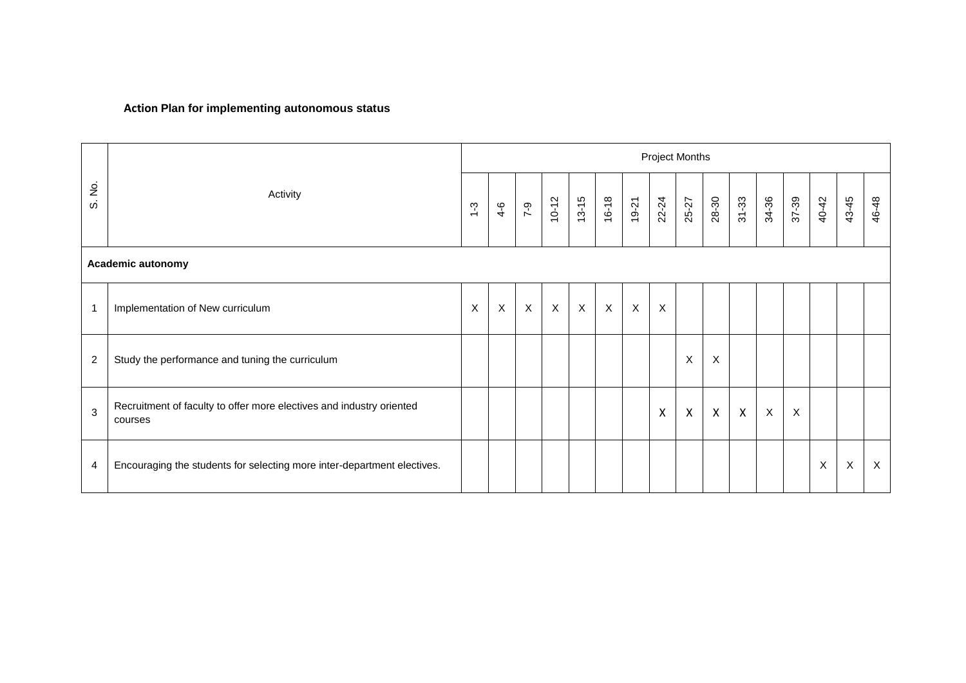### **Action Plan for implementing autonomous status**

|                |                                                                                 | <b>Project Months</b> |              |                  |                           |                           |                           |                           |                           |              |                           |              |              |                           |       |                           |              |
|----------------|---------------------------------------------------------------------------------|-----------------------|--------------|------------------|---------------------------|---------------------------|---------------------------|---------------------------|---------------------------|--------------|---------------------------|--------------|--------------|---------------------------|-------|---------------------------|--------------|
| S. No.         | Activity                                                                        | $1 - 3$               | $4 - 6$      | $7 - 9$          | $10 - 12$                 | $13 - 15$                 | 16-18                     | 19-21                     | 22-24                     | 25-27        | 28-30                     | $31 - 33$    | 34-36        | 37-39                     | 40-42 | 43-45                     | 46-48        |
|                | Academic autonomy                                                               |                       |              |                  |                           |                           |                           |                           |                           |              |                           |              |              |                           |       |                           |              |
| $\mathbf 1$    | Implementation of New curriculum                                                | X                     | $\mathsf{X}$ | $\boldsymbol{X}$ | $\boldsymbol{\mathsf{X}}$ | $\boldsymbol{\mathsf{X}}$ | $\boldsymbol{\mathsf{X}}$ | $\boldsymbol{\mathsf{X}}$ | $\boldsymbol{\mathsf{X}}$ |              |                           |              |              |                           |       |                           |              |
| $\overline{c}$ | Study the performance and tuning the curriculum                                 |                       |              |                  |                           |                           |                           |                           |                           | X            | X                         |              |              |                           |       |                           |              |
| 3              | Recruitment of faculty to offer more electives and industry oriented<br>courses |                       |              |                  |                           |                           |                           |                           | X                         | $\mathsf{X}$ | $\boldsymbol{\mathsf{X}}$ | $\mathsf{X}$ | $\mathsf{X}$ | $\boldsymbol{\mathsf{X}}$ |       |                           |              |
| 4              | Encouraging the students for selecting more inter-department electives.         |                       |              |                  |                           |                           |                           |                           |                           |              |                           |              |              |                           | X     | $\boldsymbol{\mathsf{X}}$ | $\mathsf{X}$ |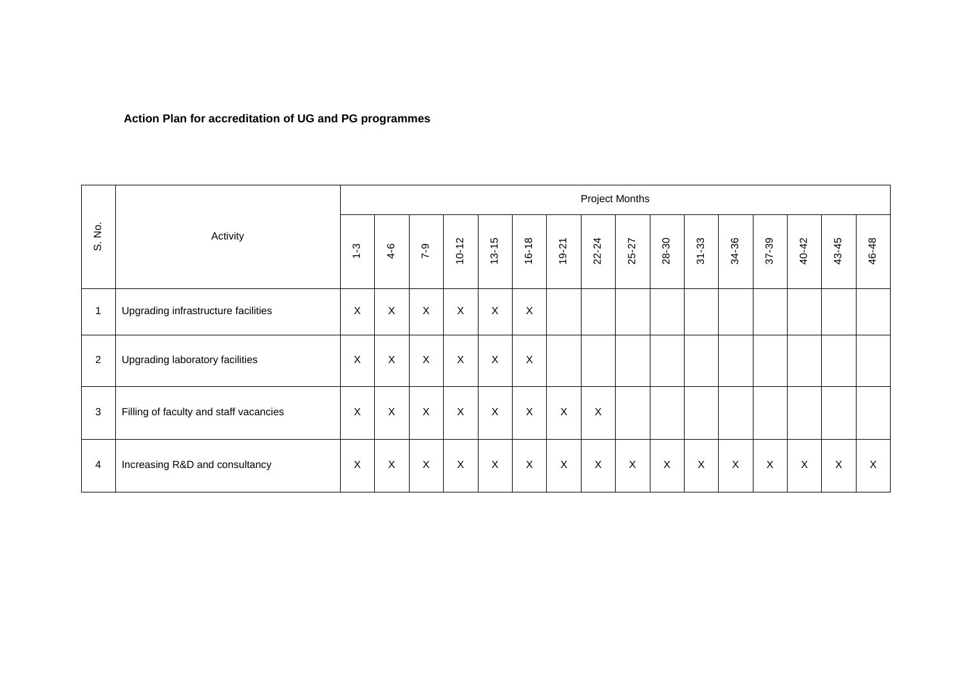# **Action Plan for accreditation of UG and PG programmes**

|                                      |                                        | <b>Project Months</b>     |                           |                           |              |              |             |                           |                           |             |       |              |             |       |                           |             |       |
|--------------------------------------|----------------------------------------|---------------------------|---------------------------|---------------------------|--------------|--------------|-------------|---------------------------|---------------------------|-------------|-------|--------------|-------------|-------|---------------------------|-------------|-------|
| $\dot{\mathsf{z}}$<br>$\dot{\omega}$ | Activity                               | $1 - 3$                   | $4 - 6$                   | $7 - 9$                   | $10 - 12$    | $13 - 15$    | $16 - 18$   | $19 - 21$                 | 22-24                     | 25-27       | 28-30 | $31 - 33$    | 34-36       | 37-39 | 40-42                     | 43-45       | 46-48 |
| -1                                   | Upgrading infrastructure facilities    | $\boldsymbol{X}$          | $\boldsymbol{\mathsf{X}}$ | $\boldsymbol{X}$          | $\mathsf X$  | $\mathsf{X}$ | X           |                           |                           |             |       |              |             |       |                           |             |       |
| $\overline{2}$                       | Upgrading laboratory facilities        | $\boldsymbol{X}$          | $\boldsymbol{\mathsf{X}}$ | $\boldsymbol{X}$          | $\mathsf{X}$ | $\mathsf X$  | X           |                           |                           |             |       |              |             |       |                           |             |       |
| 3                                    | Filling of faculty and staff vacancies | $\boldsymbol{\mathsf{X}}$ | $\boldsymbol{\mathsf{X}}$ | $\boldsymbol{\mathsf{X}}$ | $\mathsf X$  | $\mathsf X$  | $\sf X$     | $\boldsymbol{\mathsf{X}}$ | $\boldsymbol{\mathsf{X}}$ |             |       |              |             |       |                           |             |       |
| 4                                    | Increasing R&D and consultancy         | $\boldsymbol{X}$          | $\boldsymbol{\mathsf{X}}$ | $\sf X$                   | $\mathsf X$  | $\mathsf X$  | $\mathsf X$ | X                         | $\mathsf{X}$              | $\mathsf X$ | X     | $\mathsf{X}$ | $\mathsf X$ | X     | $\boldsymbol{\mathsf{X}}$ | $\mathsf X$ | X     |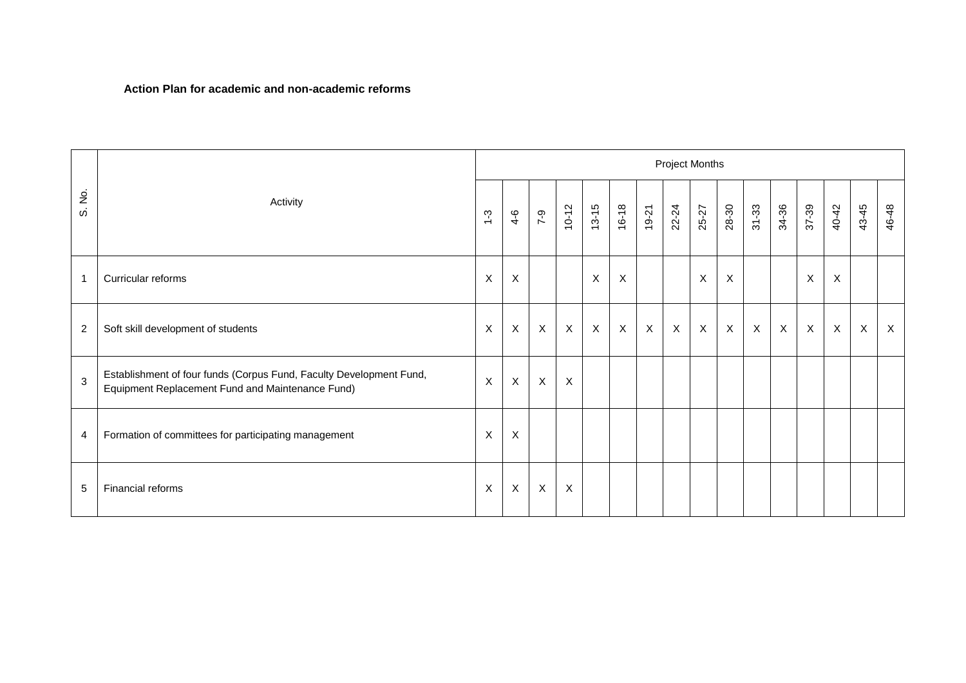#### **Action Plan for academic and non-academic reforms**

|                |                                                                                                                         |         |                           |              |                           |              |              |         |             | Project Months |                           |              |              |              |                           |              |              |
|----------------|-------------------------------------------------------------------------------------------------------------------------|---------|---------------------------|--------------|---------------------------|--------------|--------------|---------|-------------|----------------|---------------------------|--------------|--------------|--------------|---------------------------|--------------|--------------|
| غ<br>S<br>ω    | Activity                                                                                                                | $1 - 3$ | $4 - 6$                   | $7 - 9$      | $10 - 12$                 | $13 - 15$    | $16 - 18$    | $19-21$ | 22-24       | 25-27          | 28-30                     | $31 - 33$    | 34-36        | 37-39        | 40-42                     | 43-45        | 46-48        |
| $\overline{1}$ | Curricular reforms                                                                                                      | X       | $\boldsymbol{\mathsf{X}}$ |              |                           | $\times$     | $\mathsf X$  |         |             | $\times$       | $\boldsymbol{\mathsf{X}}$ |              |              | $\mathsf X$  | $\boldsymbol{X}$          |              |              |
| 2              | Soft skill development of students                                                                                      | X       | $\mathsf{X}$              | $\mathsf X$  | $\boldsymbol{\mathsf{X}}$ | $\mathsf{X}$ | $\mathsf{X}$ | X       | $\mathsf X$ | $\mathsf X$    | $\mathsf X$               | $\mathsf{X}$ | $\mathsf{X}$ | $\mathsf{X}$ | $\boldsymbol{\mathsf{X}}$ | $\mathsf{X}$ | $\mathsf{X}$ |
| $\mathbf{3}$   | Establishment of four funds (Corpus Fund, Faculty Development Fund,<br>Equipment Replacement Fund and Maintenance Fund) | X       | $\mathsf{X}$              | $\mathsf{X}$ | $\boldsymbol{\mathsf{X}}$ |              |              |         |             |                |                           |              |              |              |                           |              |              |
| 4              | Formation of committees for participating management                                                                    | X       | $\boldsymbol{X}$          |              |                           |              |              |         |             |                |                           |              |              |              |                           |              |              |
| 5              | Financial reforms                                                                                                       | X       | $\mathsf{X}$              | $\mathsf X$  | $\boldsymbol{\mathsf{X}}$ |              |              |         |             |                |                           |              |              |              |                           |              |              |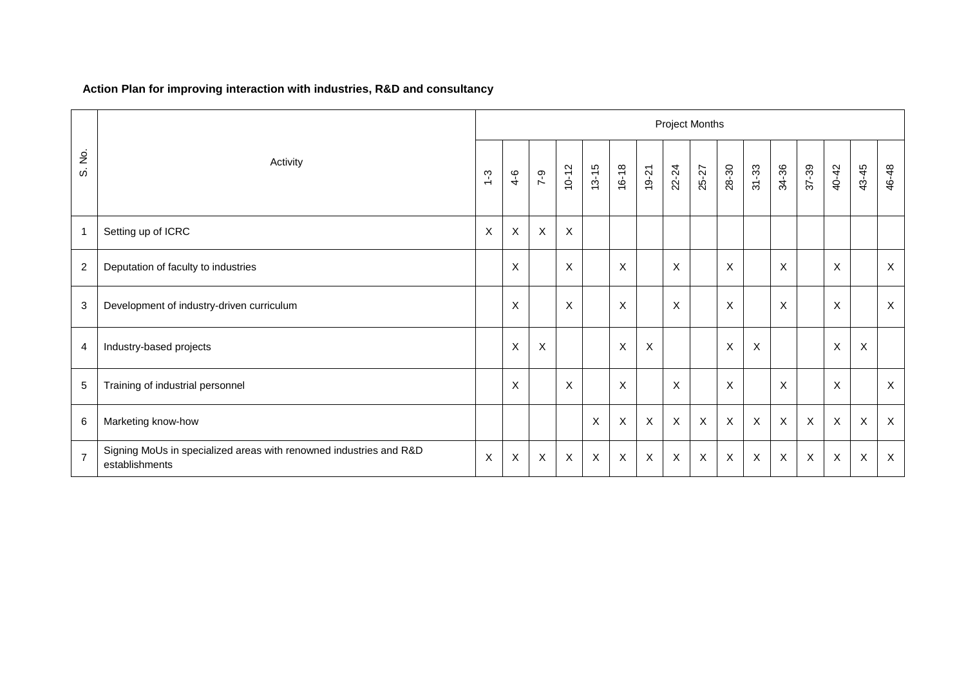## **Action Plan for improving interaction with industries, R&D and consultancy**

|                          |                                                                                      | <b>Project Months</b>     |              |                           |                           |           |                           |                |                           |                           |                |                           |             |                           |                           |                           |                           |
|--------------------------|--------------------------------------------------------------------------------------|---------------------------|--------------|---------------------------|---------------------------|-----------|---------------------------|----------------|---------------------------|---------------------------|----------------|---------------------------|-------------|---------------------------|---------------------------|---------------------------|---------------------------|
| $\dot{\mathcal{Z}}$<br>ω | Activity                                                                             | $\frac{3}{2}$             | $4-6$        | $7 - 9$                   | $10 - 12$                 | $13 - 15$ | $16 - 18$                 | $19 - 21$      | 22-24                     | 25-27                     | 28-30          | $31 - 33$                 | 34-36       | 37-39                     | 40-42                     | 43-45                     | 46-48                     |
| $\mathbf{1}$             | Setting up of ICRC                                                                   | $\boldsymbol{\mathsf{X}}$ | X            | $\boldsymbol{\mathsf{X}}$ | $\times$                  |           |                           |                |                           |                           |                |                           |             |                           |                           |                           |                           |
| $\overline{2}$           | Deputation of faculty to industries                                                  |                           | X            |                           | $\sf X$                   |           | X                         |                | $\boldsymbol{\mathsf{X}}$ |                           | $\pmb{\times}$ |                           | X           |                           | $\times$                  |                           | $\mathsf{X}$              |
| 3                        | Development of industry-driven curriculum                                            |                           | X            |                           | $\boldsymbol{\mathsf{X}}$ |           | $\times$                  |                | $\boldsymbol{\mathsf{X}}$ |                           | X              |                           | X           |                           | X                         |                           | $\boldsymbol{\mathsf{X}}$ |
| 4                        | Industry-based projects                                                              |                           | $\mathsf{X}$ | $\boldsymbol{\mathsf{X}}$ |                           |           | $\pmb{\times}$            | $\pmb{\times}$ |                           |                           | $\pmb{\times}$ | $\boldsymbol{\mathsf{X}}$ |             |                           | $\pmb{\times}$            | $\boldsymbol{\mathsf{X}}$ |                           |
| $\sqrt{5}$               | Training of industrial personnel                                                     |                           | X            |                           | $\times$                  |           | $\times$                  |                | $\boldsymbol{\mathsf{X}}$ |                           | X              |                           | X           |                           | $\times$                  |                           | $\mathsf X$               |
| $\,6\,$                  | Marketing know-how                                                                   |                           |              |                           |                           | X         | $\boldsymbol{\mathsf{X}}$ | $\mathsf{X}$   | $\boldsymbol{\mathsf{X}}$ | $\mathsf X$               | $\mathsf{X}$   | $\mathsf X$               | $\mathsf X$ | $\mathsf{X}$              | $\mathsf X$               | $\mathsf X$               | $\mathsf{X}$              |
| $\overline{7}$           | Signing MoUs in specialized areas with renowned industries and R&D<br>establishments | $\pmb{\times}$            | $\sf X$      | $\mathsf{X}$              | $\times$                  | X         | $\boldsymbol{\mathsf{X}}$ | X              | $\boldsymbol{\mathsf{X}}$ | $\boldsymbol{\mathsf{X}}$ | X              | $\boldsymbol{\mathsf{X}}$ | X           | $\boldsymbol{\mathsf{X}}$ | $\boldsymbol{\mathsf{X}}$ | $\mathsf{X}$              | $\sf X$                   |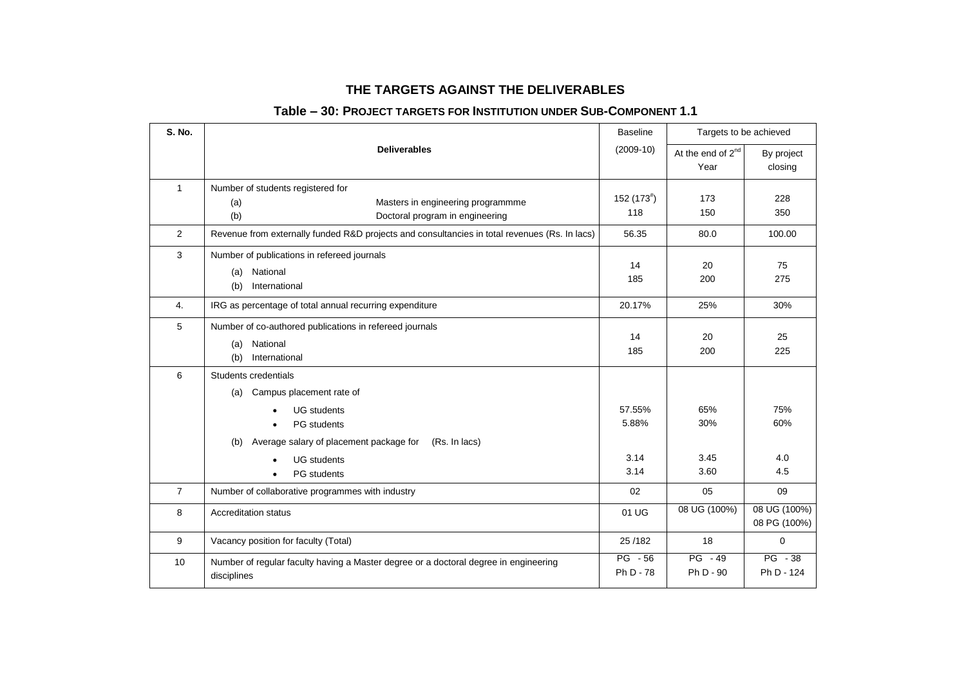### **THE TARGETS AGAINST THE DELIVERABLES**

### **Table – 30: PROJECT TARGETS FOR INSTITUTION UNDER SUB-COMPONENT 1.1**

| S. No.         |                                                                                               | <b>Baseline</b> |                               | Targets to be achieved |
|----------------|-----------------------------------------------------------------------------------------------|-----------------|-------------------------------|------------------------|
|                | <b>Deliverables</b>                                                                           | $(2009-10)$     | At the end of 2 <sup>nd</sup> | By project             |
|                |                                                                                               |                 | Year                          | closing                |
| $\mathbf{1}$   | Number of students registered for                                                             |                 |                               |                        |
|                | Masters in engineering programmme<br>(a)                                                      | $152(173*)$     | 173                           | 228                    |
|                | (b)<br>Doctoral program in engineering                                                        | 118             | 150                           | 350                    |
| $\overline{2}$ | Revenue from externally funded R&D projects and consultancies in total revenues (Rs. In lacs) | 56.35           | 80.0                          | 100.00                 |
| 3              | Number of publications in refereed journals                                                   |                 |                               |                        |
|                | National<br>(a)                                                                               | 14<br>185       | 20<br>200                     | 75<br>275              |
|                | International<br>(b)                                                                          |                 |                               |                        |
| 4.             | IRG as percentage of total annual recurring expenditure                                       | 20.17%          | 25%                           | 30%                    |
| 5              | Number of co-authored publications in refereed journals                                       |                 |                               |                        |
|                | National<br>(a)                                                                               | 14              | 20                            | 25<br>225              |
|                | International<br>(b)                                                                          | 185             | 200                           |                        |
| 6              | Students credentials                                                                          |                 |                               |                        |
|                | Campus placement rate of<br>(a)                                                               |                 |                               |                        |
|                | <b>UG</b> students                                                                            | 57.55%          | 65%                           | 75%                    |
|                | <b>PG</b> students                                                                            | 5.88%           | 30%                           | 60%                    |
|                | Average salary of placement package for<br>(Rs. In lacs)<br>(b)                               |                 |                               |                        |
|                | <b>UG</b> students                                                                            | 3.14            | 3.45                          | 4.0                    |
|                | PG students<br>$\bullet$                                                                      | 3.14            | 3.60                          | 4.5                    |
| $\overline{7}$ | Number of collaborative programmes with industry                                              | 02              | 05                            | 09                     |
| 8              | <b>Accreditation status</b>                                                                   | 01 UG           | 08 UG (100%)                  | 08 UG (100%)           |
|                |                                                                                               |                 |                               | 08 PG (100%)           |
| 9              | Vacancy position for faculty (Total)                                                          | 25/182          | 18                            | $\mathbf 0$            |
| 10             | Number of regular faculty having a Master degree or a doctoral degree in engineering          | $PG - 56$       | $PG - 49$                     | $PG - 38$              |
|                | disciplines                                                                                   | Ph D - 78       | Ph D - 90                     | Ph D - 124             |